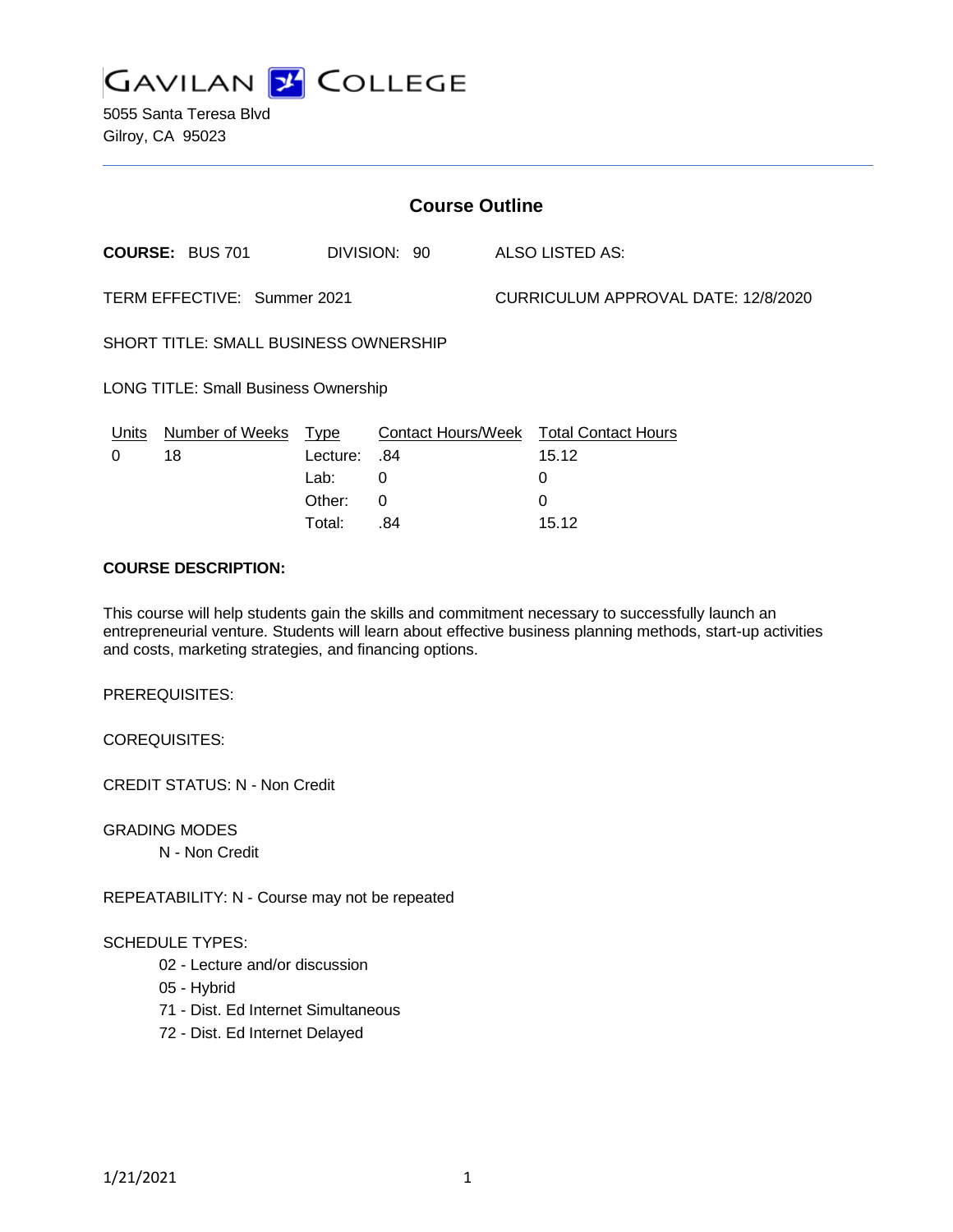

5055 Santa Teresa Blvd Gilroy, CA 95023

| <b>Course Outline</b>                       |                        |                     |              |                                     |                                        |
|---------------------------------------------|------------------------|---------------------|--------------|-------------------------------------|----------------------------------------|
|                                             | <b>COURSE: BUS 701</b> |                     | DIVISION: 90 |                                     | ALSO LISTED AS:                        |
| TERM EFFECTIVE: Summer 2021                 |                        |                     |              | CURRICULUM APPROVAL DATE: 12/8/2020 |                                        |
| SHORT TITLE: SMALL BUSINESS OWNERSHIP       |                        |                     |              |                                     |                                        |
| <b>LONG TITLE: Small Business Ownership</b> |                        |                     |              |                                     |                                        |
| Units                                       | Number of Weeks Type   |                     |              |                                     | Contact Hours/Week Total Contact Hours |
| 0                                           | 18                     | <b>Lecture: .84</b> |              |                                     | 15.12                                  |
|                                             |                        | Lab:                | 0            |                                     | 0                                      |
|                                             |                        | Other:              | 0            |                                     | 0                                      |
|                                             |                        | Total:              | .84          |                                     | 15.12                                  |

#### **COURSE DESCRIPTION:**

This course will help students gain the skills and commitment necessary to successfully launch an entrepreneurial venture. Students will learn about effective business planning methods, start-up activities and costs, marketing strategies, and financing options.

PREREQUISITES:

COREQUISITES:

CREDIT STATUS: N - Non Credit

GRADING MODES

N - Non Credit

REPEATABILITY: N - Course may not be repeated

#### SCHEDULE TYPES:

- 02 Lecture and/or discussion
- 05 Hybrid
- 71 Dist. Ed Internet Simultaneous
- 72 Dist. Ed Internet Delayed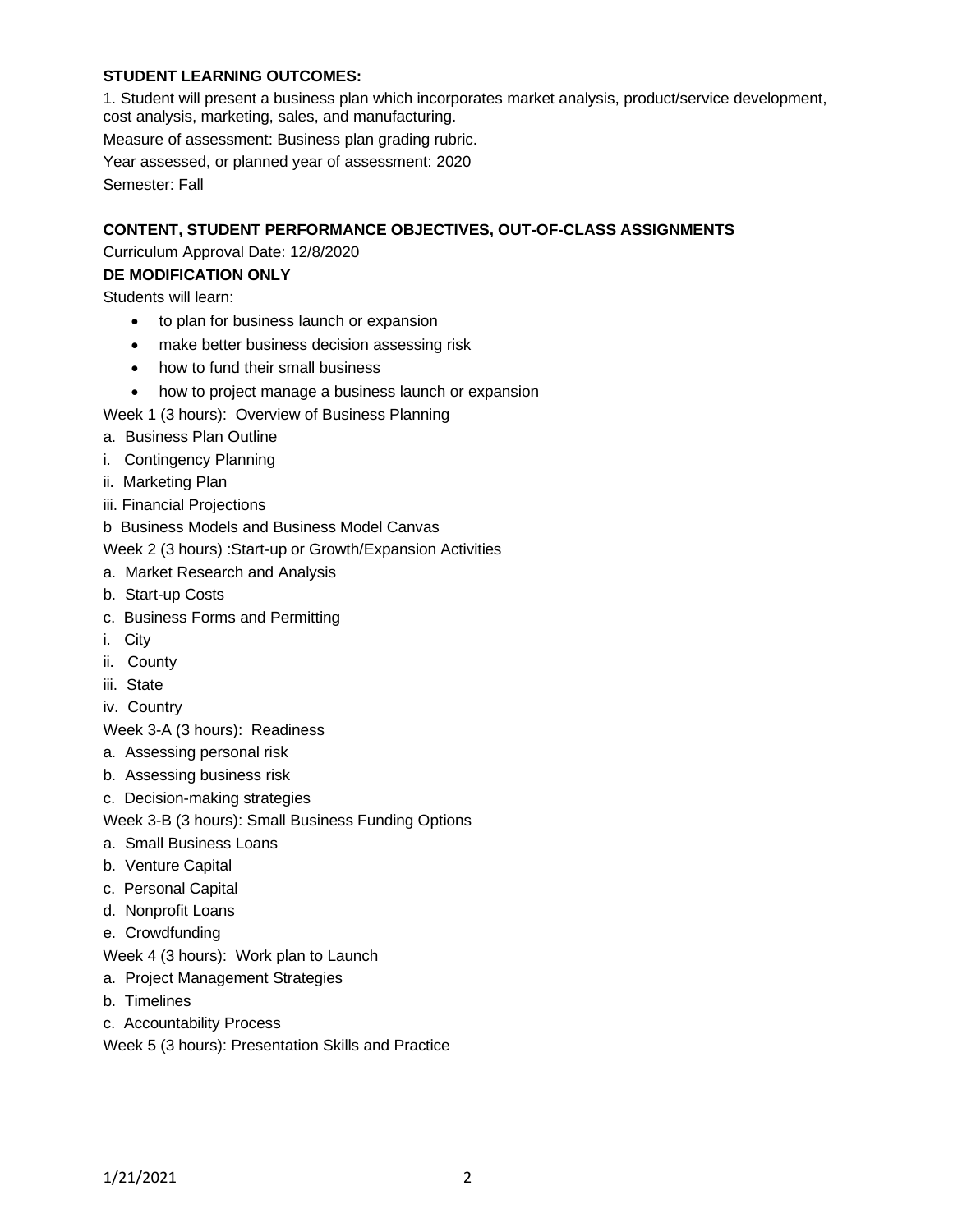# **STUDENT LEARNING OUTCOMES:**

1. Student will present a business plan which incorporates market analysis, product/service development, cost analysis, marketing, sales, and manufacturing.

Measure of assessment: Business plan grading rubric.

Year assessed, or planned year of assessment: 2020

Semester: Fall

#### **CONTENT, STUDENT PERFORMANCE OBJECTIVES, OUT-OF-CLASS ASSIGNMENTS**

# Curriculum Approval Date: 12/8/2020

# **DE MODIFICATION ONLY**

Students will learn:

- to plan for business launch or expansion
- make better business decision assessing risk
- how to fund their small business
- how to project manage a business launch or expansion

Week 1 (3 hours): Overview of Business Planning

- a. Business Plan Outline
- i. Contingency Planning
- ii. Marketing Plan
- iii. Financial Projections
- b Business Models and Business Model Canvas

Week 2 (3 hours) :Start-up or Growth/Expansion Activities

- a. Market Research and Analysis
- b. Start-up Costs
- c. Business Forms and Permitting
- i. City
- ii. County
- iii. State
- iv. Country

Week 3-A (3 hours): Readiness

- a. Assessing personal risk
- b. Assessing business risk
- c. Decision-making strategies
- Week 3-B (3 hours): Small Business Funding Options
- a. Small Business Loans
- b. Venture Capital
- c. Personal Capital
- d. Nonprofit Loans
- e. Crowdfunding
- Week 4 (3 hours): Work plan to Launch
- a. Project Management Strategies
- b. Timelines
- c. Accountability Process
- Week 5 (3 hours): Presentation Skills and Practice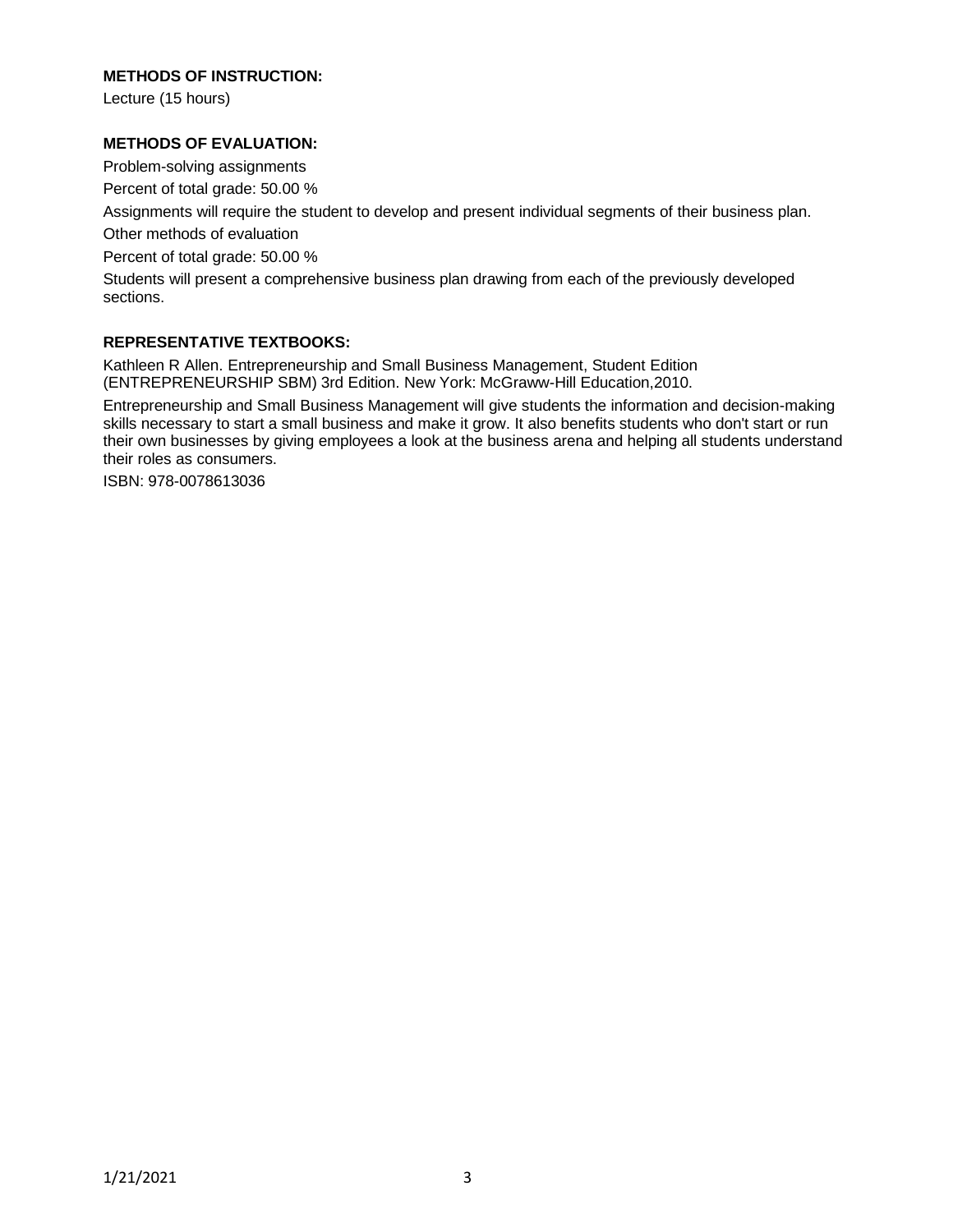#### **METHODS OF INSTRUCTION:**

Lecture (15 hours)

#### **METHODS OF EVALUATION:**

Problem-solving assignments

Percent of total grade: 50.00 %

Assignments will require the student to develop and present individual segments of their business plan.

Other methods of evaluation

Percent of total grade: 50.00 %

Students will present a comprehensive business plan drawing from each of the previously developed sections.

#### **REPRESENTATIVE TEXTBOOKS:**

Kathleen R Allen. Entrepreneurship and Small Business Management, Student Edition (ENTREPRENEURSHIP SBM) 3rd Edition. New York: McGraww-Hill Education,2010.

Entrepreneurship and Small Business Management will give students the information and decision-making skills necessary to start a small business and make it grow. It also benefits students who don't start or run their own businesses by giving employees a look at the business arena and helping all students understand their roles as consumers.

ISBN: 978-0078613036